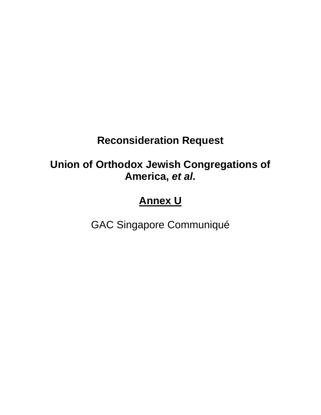# **Reconsideration Request**

## **Union of Orthodox Jewish Congregations of America,** *et al.*

# **Annex U**

GAC Singapore Communiqué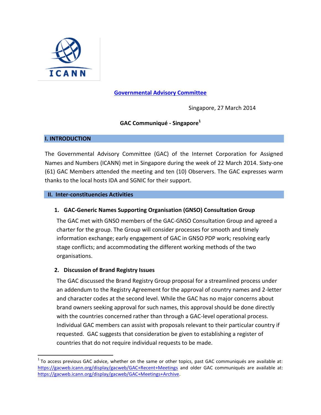

### **[Governmental Advisory Committee](https://gacweb.icann.org/)**

Singapore, 27 March 2014

## **GAC Communiqué - Singapore<sup>1</sup>**

#### **I. INTRODUCTION**

 $\overline{\phantom{a}}$ 

The Governmental Advisory Committee (GAC) of the Internet Corporation for Assigned Names and Numbers (ICANN) met in Singapore during the week of 22 March 2014. Sixty-one (61) GAC Members attended the meeting and ten (10) Observers. The GAC expresses warm thanks to the local hosts IDA and SGNIC for their support.

#### **II. Inter-constituencies Activities**

#### **1. GAC-Generic Names Supporting Organisation (GNSO) Consultation Group**

The GAC met with GNSO members of the GAC-GNSO Consultation Group and agreed a charter for the group. The Group will consider processes for smooth and timely information exchange; early engagement of GAC in GNSO PDP work; resolving early stage conflicts; and accommodating the different working methods of the two organisations.

#### **2. Discussion of Brand Registry Issues**

The GAC discussed the Brand Registry Group proposal for a streamlined process under an addendum to the Registry Agreement for the approval of country names and 2-letter and character codes at the second level. While the GAC has no major concerns about brand owners seeking approval for such names, this approval should be done directly with the countries concerned rather than through a GAC-level operational process. Individual GAC members can assist with proposals relevant to their particular country if requested. GAC suggests that consideration be given to establishing a register of countries that do not require individual requests to be made.

 $1$ To access previous GAC advice, whether on the same or other topics, past GAC communiqués are available at: <https://gacweb.icann.org/display/gacweb/GAC+Recent+Meetings> and older GAC communiqués are available at: [https://gacweb.icann.org/display/gacweb/GAC+Meetings+Archive.](https://gacweb.icann.org/display/gacweb/GAC+Meetings+Archive)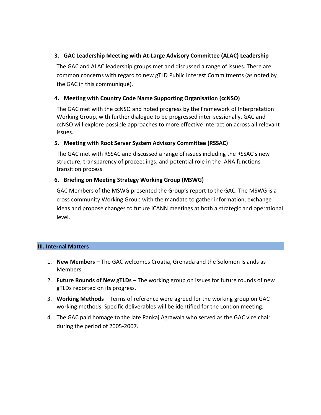### **3. GAC Leadership Meeting with At-Large Advisory Committee (ALAC) Leadership**

The GAC and ALAC leadership groups met and discussed a range of issues. There are common concerns with regard to new gTLD Public Interest Commitments (as noted by the GAC in this communiqué).

## **4. Meeting with Country Code Name Supporting Organisation (ccNSO)**

The GAC met with the ccNSO and noted progress by the Framework of Interpretation Working Group, with further dialogue to be progressed inter-sessionally. GAC and ccNSO will explore possible approaches to more effective interaction across all relevant issues.

## **5. Meeting with Root Server System Advisory Committee (RSSAC)**

The GAC met with RSSAC and discussed a range of issues including the RSSAC's new structure; transparency of proceedings; and potential role in the IANA functions transition process.

### **6. Briefing on Meeting Strategy Working Group (MSWG)**

GAC Members of the MSWG presented the Group's report to the GAC. The MSWG is a cross community Working Group with the mandate to gather information, exchange ideas and propose changes to future ICANN meetings at both a strategic and operational level.

#### **III. Internal Matters**

- 1. **New Members –** The GAC welcomes Croatia, Grenada and the Solomon Islands as Members.
- 2. **Future Rounds of New gTLDs** The working group on issues for future rounds of new gTLDs reported on its progress.
- 3. **Working Methods** Terms of reference were agreed for the working group on GAC working methods. Specific deliverables will be identified for the London meeting.
- 4. The GAC paid homage to the late Pankaj Agrawala who served as the GAC vice chair during the period of 2005-2007.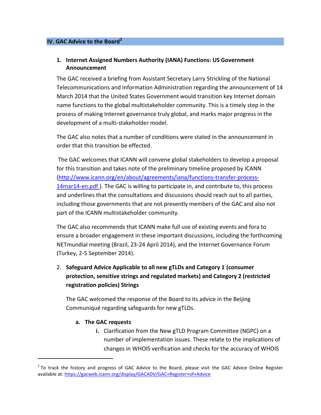#### **IV. GAC Advice to the Board<sup>2</sup>**

## **1. Internet Assigned Numbers Authority (IANA) Functions: US Government Announcement**

The GAC received a briefing from Assistant Secretary Larry Strickling of the National Telecommunications and Information Administration regarding the announcement of 14 March 2014 that the United States Government would transition key Internet domain name functions to the global multistakeholder community. This is a timely step in the process of making Internet governance truly global, and marks major progress in the development of a multi-stakeholder model.

The GAC also notes that a number of conditions were stated in the announcement in order that this transition be effected.

The GAC welcomes that ICANN will convene global stakeholders to develop a proposal for this transition and takes note of the preliminary timeline proposed by ICANN [\(http://www.icann.org/en/about/agreements/iana/functions-transfer-process-](http://www.icann.org/en/about/agreements/iana/functions-transfer-process-14mar14-en.pdf)[14mar14-en.pdf](http://www.icann.org/en/about/agreements/iana/functions-transfer-process-14mar14-en.pdf)). The GAC is willing to participate in, and contribute to, this process and underlines that the consultations and discussions should reach out to all parties, including those governments that are not presently members of the GAC and also not part of the ICANN multistakeholder community.

The GAC also recommends that ICANN make full use of existing events and fora to ensure a broader engagement in these important discussions, including the forthcoming NETmundial meeting (Brazil, 23-24 April 2014), and the Internet Governance Forum (Turkey, 2-5 September 2014).

2. **Safeguard Advice Applicable to all new gTLDs and Category 1 (consumer protection, sensitive strings and regulated markets) and Category 2 (restricted registration policies) Strings**

The GAC welcomed the response of the Board to its advice in the Beijing Communiqué regarding safeguards for new gTLDs.

#### **a. The GAC requests**

l

**i.** Clarification from the New gTLD Program Committee (NGPC) on a number of implementation issues. These relate to the implications of changes in WHOIS verification and checks for the accuracy of WHOIS

 $2$  To track the history and progress of GAC Advice to the Board, please visit the GAC Advice Online Register available at:<https://gacweb.icann.org/display/GACADV/GAC+Register+of+Advice>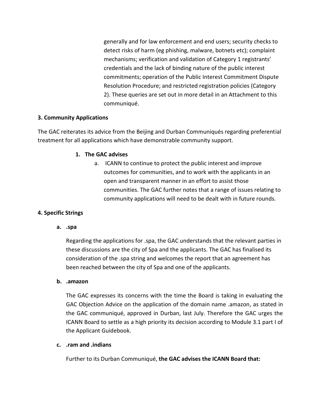generally and for law enforcement and end users; security checks to detect risks of harm (eg phishing, malware, botnets etc); complaint mechanisms; verification and validation of Category 1 registrants' credentials and the lack of binding nature of the public interest commitments; operation of the Public Interest Commitment Dispute Resolution Procedure; and restricted registration policies (Category 2). These queries are set out in more detail in an Attachment to this communiqué.

### **3. Community Applications**

The GAC reiterates its advice from the Beijing and Durban Communiqués regarding preferential treatment for all applications which have demonstrable community support.

### **1. The GAC advises**

a. ICANN to continue to protect the public interest and improve outcomes for communities, and to work with the applicants in an open and transparent manner in an effort to assist those communities. The GAC further notes that a range of issues relating to community applications will need to be dealt with in future rounds.

## **4. Specific Strings**

**a. .spa** 

Regarding the applications for .spa, the GAC understands that the relevant parties in these discussions are the city of Spa and the applicants. The GAC has finalised its consideration of the .spa string and welcomes the report that an agreement has been reached between the city of Spa and one of the applicants.

#### **b. .amazon**

The GAC expresses its concerns with the time the Board is taking in evaluating the GAC Objection Advice on the application of the domain name .amazon, as stated in the GAC communiqué, approved in Durban, last July. Therefore the GAC urges the ICANN Board to settle as a high priority its decision according to Module 3.1 part I of the Applicant Guidebook.

## **c. .ram and .indians**

Further to its Durban Communiqué, **the GAC advises the ICANN Board that:**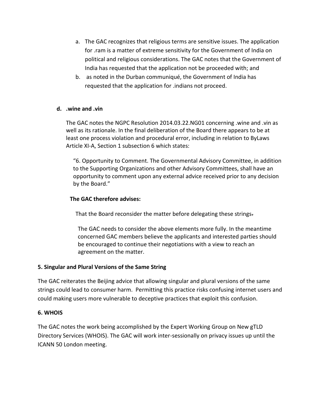- a. The GAC recognizes that religious terms are sensitive issues. The application for .ram is a matter of extreme sensitivity for the Government of India on political and religious considerations. The GAC notes that the Government of India has requested that the application not be proceeded with; and
- b. as noted in the Durban communiqué, the Government of India has requested that the application for .indians not proceed.

### **d. .wine and .vin**

The GAC notes the NGPC Resolution 2014.03.22.NG01 concerning .wine and .vin as well as its rationale. In the final deliberation of the Board there appears to be at least one process violation and procedural error, including in relation to ByLaws Article XI-A, Section 1 subsection 6 which states:

"6. Opportunity to Comment. The Governmental Advisory Committee, in addition to the Supporting Organizations and other Advisory Committees, shall have an opportunity to comment upon any external advice received prior to any decision by the Board."

### **The GAC therefore advises:**

That the Board reconsider the matter before delegating these strings-

The GAC needs to consider the above elements more fully. In the meantime concerned GAC members believe the applicants and interested parties should be encouraged to continue their negotiations with a view to reach an agreement on the matter.

## **5. Singular and Plural Versions of the Same String**

The GAC reiterates the Beijing advice that allowing singular and plural versions of the same strings could lead to consumer harm. Permitting this practice risks confusing internet users and could making users more vulnerable to deceptive practices that exploit this confusion.

#### **6. WHOIS**

The GAC notes the work being accomplished by the Expert Working Group on New gTLD Directory Services (WHOIS). The GAC will work inter-sessionally on privacy issues up until the ICANN 50 London meeting.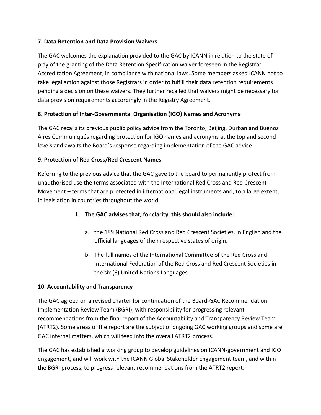## **7. Data Retention and Data Provision Waivers**

The GAC welcomes the explanation provided to the GAC by ICANN in relation to the state of play of the granting of the Data Retention Specification waiver foreseen in the Registrar Accreditation Agreement, in compliance with national laws. Some members asked ICANN not to take legal action against those Registrars in order to fulfill their data retention requirements pending a decision on these waivers. They further recalled that waivers might be necessary for data provision requirements accordingly in the Registry Agreement.

## **8. Protection of Inter-Governmental Organisation (IGO) Names and Acronyms**

The GAC recalls its previous public policy advice from the Toronto, Beijing, Durban and Buenos Aires Communiqués regarding protection for IGO names and acronyms at the top and second levels and awaits the Board's response regarding implementation of the GAC advice.

## **9. Protection of Red Cross/Red Crescent Names**

Referring to the previous advice that the GAC gave to the board to permanently protect from unauthorised use the terms associated with the International Red Cross and Red Crescent Movement – terms that are protected in international legal instruments and, to a large extent, in legislation in countries throughout the world.

- **I. The GAC advises that, for clarity, this should also include:**
	- a. the 189 National Red Cross and Red Crescent Societies, in English and the official languages of their respective states of origin.
	- b. The full names of the International Committee of the Red Cross and International Federation of the Red Cross and Red Crescent Societies in the six (6) United Nations Languages.

## **10. Accountability and Transparency**

The GAC agreed on a revised charter for continuation of the Board-GAC Recommendation Implementation Review Team (BGRI), with responsibility for progressing relevant recommendations from the final report of the Accountability and Transparency Review Team (ATRT2). Some areas of the report are the subject of ongoing GAC working groups and some are GAC internal matters, which will feed into the overall ATRT2 process.

The GAC has established a working group to develop guidelines on ICANN-government and IGO engagement, and will work with the ICANN Global Stakeholder Engagement team, and within the BGRI process, to progress relevant recommendations from the ATRT2 report.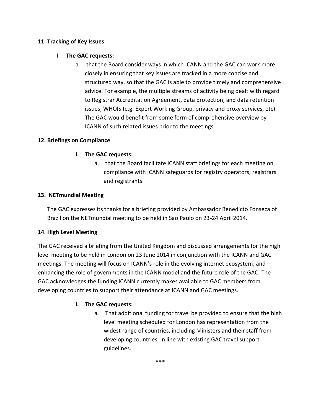## **11. Tracking of Key Issues**

### I. **The GAC requests:**

a. that the Board consider ways in which ICANN and the GAC can work more closely in ensuring that key issues are tracked in a more concise and structured way, so that the GAC is able to provide timely and comprehensive advice. For example, the multiple streams of activity being dealt with regard to Registrar Accreditation Agreement, data protection, and data retention issues, WHOIS (e.g. Expert Working Group, privacy and proxy services, etc). The GAC would benefit from some form of comprehensive overview by ICANN of such related issues prior to the meetings.

### **12. Briefings on Compliance**

### **I. The GAC requests:**

a. that the Board facilitate ICANN staff briefings for each meeting on compliance with ICANN safeguards for registry operators, registrars and registrants.

#### **13. NETmundial Meeting**

The GAC expresses its thanks for a briefing provided by Ambassador Benedicto Fonseca of Brazil on the NETmundial meeting to be held in Sao Paulo on 23-24 April 2014.

## **14. High Level Meeting**

The GAC received a briefing from the United Kingdom and discussed arrangements for the high level meeting to be held in London on 23 June 2014 in conjunction with the ICANN and GAC meetings. The meeting will focus on ICANN's role in the evolving internet ecosystem; and enhancing the role of governments in the ICANN model and the future role of the GAC. The GAC acknowledges the funding ICANN currently makes available to GAC members from developing countries to support their attendance at ICANN and GAC meetings.

## **I. The GAC requests:**

a. That additional funding for travel be provided to ensure that the high level meeting scheduled for London has representation from the widest range of countries, including Ministers and their staff from developing countries, in line with existing GAC travel support guidelines.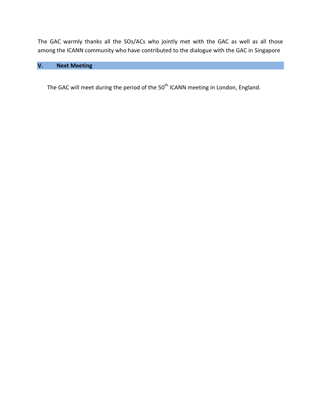The GAC warmly thanks all the SOs/ACs who jointly met with the GAC as well as all those among the ICANN community who have contributed to the dialogue with the GAC in Singapore

## **V. Next Meeting**

The GAC will meet during the period of the 50<sup>th</sup> ICANN meeting in London, England.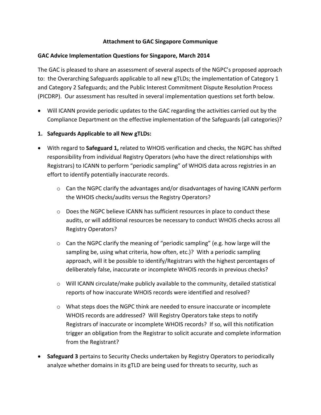### **Attachment to GAC Singapore Communique**

#### **GAC Advice Implementation Questions for Singapore, March 2014**

The GAC is pleased to share an assessment of several aspects of the NGPC's proposed approach to: the Overarching Safeguards applicable to all new gTLDs; the implementation of Category 1 and Category 2 Safeguards; and the Public Interest Commitment Dispute Resolution Process (PICDRP). Our assessment has resulted in several implementation questions set forth below.

- Will ICANN provide periodic updates to the GAC regarding the activities carried out by the Compliance Department on the effective implementation of the Safeguards (all categories)?
- **1. Safeguards Applicable to all New gTLDs:**
- With regard to **Safeguard 1,** related to WHOIS verification and checks, the NGPC has shifted responsibility from individual Registry Operators (who have the direct relationships with Registrars) to ICANN to perform "periodic sampling" of WHOIS data across registries in an effort to identify potentially inaccurate records.
	- o Can the NGPC clarify the advantages and/or disadvantages of having ICANN perform the WHOIS checks/audits versus the Registry Operators?
	- $\circ$  Does the NGPC believe ICANN has sufficient resources in place to conduct these audits, or will additional resources be necessary to conduct WHOIS checks across all Registry Operators?
	- o Can the NGPC clarify the meaning of "periodic sampling" (e.g. how large will the sampling be, using what criteria, how often, etc.)? With a periodic sampling approach, will it be possible to identify/Registrars with the highest percentages of deliberately false, inaccurate or incomplete WHOIS records in previous checks?
	- o Will ICANN circulate/make publicly available to the community, detailed statistical reports of how inaccurate WHOIS records were identified and resolved?
	- $\circ$  What steps does the NGPC think are needed to ensure inaccurate or incomplete WHOIS records are addressed? Will Registry Operators take steps to notify Registrars of inaccurate or incomplete WHOIS records? If so, will this notification trigger an obligation from the Registrar to solicit accurate and complete information from the Registrant?
- **Safeguard 3** pertains to Security Checks undertaken by Registry Operators to periodically analyze whether domains in its gTLD are being used for threats to security, such as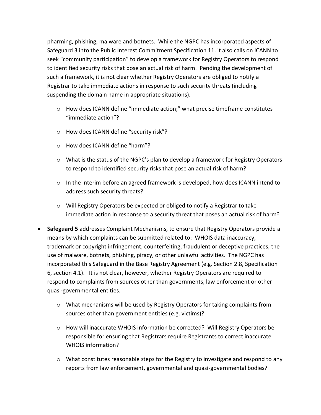pharming, phishing, malware and botnets. While the NGPC has incorporated aspects of Safeguard 3 into the Public Interest Commitment Specification 11, it also calls on ICANN to seek "community participation" to develop a framework for Registry Operators to respond to identified security risks that pose an actual risk of harm. Pending the development of such a framework, it is not clear whether Registry Operators are obliged to notify a Registrar to take immediate actions in response to such security threats (including suspending the domain name in appropriate situations).

- $\circ$  How does ICANN define "immediate action;" what precise timeframe constitutes "immediate action"?
- o How does ICANN define "security risk"?
- o How does ICANN define "harm"?
- $\circ$  What is the status of the NGPC's plan to develop a framework for Registry Operators to respond to identified security risks that pose an actual risk of harm?
- $\circ$  In the interim before an agreed framework is developed, how does ICANN intend to address such security threats?
- o Will Registry Operators be expected or obliged to notify a Registrar to take immediate action in response to a security threat that poses an actual risk of harm?
- **Safeguard 5** addresses Complaint Mechanisms, to ensure that Registry Operators provide a means by which complaints can be submitted related to: WHOIS data inaccuracy, trademark or copyright infringement, counterfeiting, fraudulent or deceptive practices, the use of malware, botnets, phishing, piracy, or other unlawful activities. The NGPC has incorporated this Safeguard in the Base Registry Agreement (e.g. Section 2.8, Specification 6, section 4.1). It is not clear, however, whether Registry Operators are required to respond to complaints from sources other than governments, law enforcement or other quasi-governmental entities.
	- $\circ$  What mechanisms will be used by Registry Operators for taking complaints from sources other than government entities (e.g. victims)?
	- o How will inaccurate WHOIS information be corrected? Will Registry Operators be responsible for ensuring that Registrars require Registrants to correct inaccurate WHOIS information?
	- $\circ$  What constitutes reasonable steps for the Registry to investigate and respond to any reports from law enforcement, governmental and quasi-governmental bodies?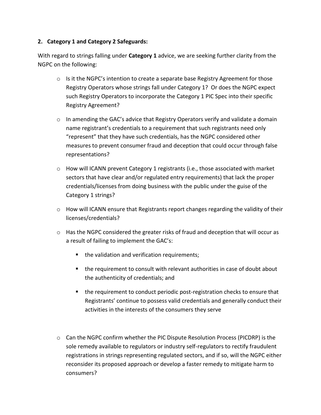## **2. Category 1 and Category 2 Safeguards:**

With regard to strings falling under **Category 1** advice, we are seeking further clarity from the NGPC on the following:

- $\circ$  Is it the NGPC's intention to create a separate base Registry Agreement for those Registry Operators whose strings fall under Category 1? Or does the NGPC expect such Registry Operators to incorporate the Category 1 PIC Spec into their specific Registry Agreement?
- $\circ$  In amending the GAC's advice that Registry Operators verify and validate a domain name registrant's credentials to a requirement that such registrants need only "represent" that they have such credentials, has the NGPC considered other measures to prevent consumer fraud and deception that could occur through false representations?
- $\circ$  How will ICANN prevent Category 1 registrants (i.e., those associated with market sectors that have clear and/or regulated entry requirements) that lack the proper credentials/licenses from doing business with the public under the guise of the Category 1 strings?
- $\circ$  How will ICANN ensure that Registrants report changes regarding the validity of their licenses/credentials?
- o Has the NGPC considered the greater risks of fraud and deception that will occur as a result of failing to implement the GAC's:
	- the validation and verification requirements;
	- the requirement to consult with relevant authorities in case of doubt about the authenticity of credentials; and
	- the requirement to conduct periodic post-registration checks to ensure that Registrants' continue to possess valid credentials and generally conduct their activities in the interests of the consumers they serve
- o Can the NGPC confirm whether the PIC Dispute Resolution Process (PICDRP) is the sole remedy available to regulators or industry self-regulators to rectify fraudulent registrations in strings representing regulated sectors, and if so, will the NGPC either reconsider its proposed approach or develop a faster remedy to mitigate harm to consumers?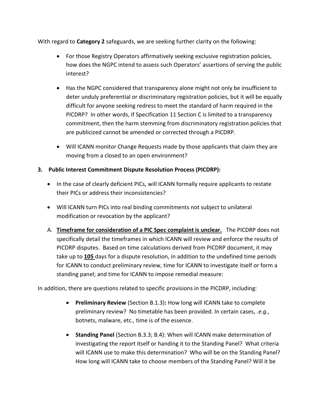With regard to **Category 2** safeguards, we are seeking further clarity on the following:

- For those Registry Operators affirmatively seeking exclusive registration policies, how does the NGPC intend to assess such Operators' assertions of serving the public interest?
- Has the NGPC considered that transparency alone might not only be insufficient to deter unduly preferential or discriminatory registration policies, but it will be equally difficult for anyone seeking redress to meet the standard of harm required in the PICDRP? In other words, if Specification 11 Section C is limited to a transparency commitment, then the harm stemming from discriminatory registration policies that are publicized cannot be amended or corrected through a PICDRP.
- Will ICANN monitor Change Requests made by those applicants that claim they are moving from a closed to an open environment?
- **3. Public Interest Commitment Dispute Resolution Process (PICDRP):**
	- In the case of clearly deficient PICs, will ICANN formally require applicants to restate their PICs or address their inconsistencies?
	- Will ICANN turn PICs into real binding commitments not subject to unilateral modification or revocation by the applicant?
	- A. **Timeframe for consideration of a PIC Spec complaint is unclear.** The PICDRP does not specifically detail the timeframes in which ICANN will review and enforce the results of PICDRP disputes.Based on time calculations derived from PICDRP document, it may take up to **105** days for a dispute resolution, in addition to the undefined time periods for ICANN to conduct preliminary review, time for ICANN to investigate itself or form a standing panel; and time for ICANN to impose remedial measure:

In addition, there are questions related to specific provisions in the PICDRP, including:

- **Preliminary Review** (Section B.1.3)**:** How long will ICANN take to complete preliminary review? No timetable has been provided. In certain cases, .*e.g.*, botnets, malware, etc., time is of the essence.
- **Standing Panel** (Section B.3.3; B.4): When will ICANN make determination of investigating the report itself or handing it to the Standing Panel? What criteria will ICANN use to make this determination? Who will be on the Standing Panel? How long will ICANN take to choose members of the Standing Panel? Will it be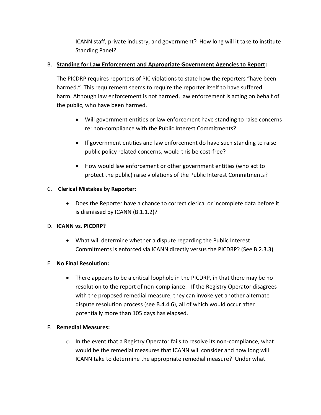ICANN staff, private industry, and government? How long will it take to institute Standing Panel?

## B. **Standing for Law Enforcement and Appropriate Government Agencies to Report:**

The PICDRP requires reporters of PIC violations to state how the reporters "have been harmed." This requirement seems to require the reporter itself to have suffered harm. Although law enforcement is not harmed, law enforcement is acting on behalf of the public, who have been harmed.

- Will government entities or law enforcement have standing to raise concerns re: non-compliance with the Public Interest Commitments?
- If government entities and law enforcement do have such standing to raise public policy related concerns, would this be cost-free?
- How would law enforcement or other government entities (who act to protect the public) raise violations of the Public Interest Commitments?

## C. **Clerical Mistakes by Reporter:**

 Does the Reporter have a chance to correct clerical or incomplete data before it is dismissed by ICANN (B.1.1.2)?

## D. **ICANN vs. PICDRP?**

 What will determine whether a dispute regarding the Public Interest Commitments is enforced via ICANN directly versus the PICDRP? (See B.2.3.3)

## E. **No Final Resolution:**

 There appears to be a critical loophole in the PICDRP, in that there may be no resolution to the report of non-compliance. If the Registry Operator disagrees with the proposed remedial measure, they can invoke yet another alternate dispute resolution process (see B.4.4.6), all of which would occur after potentially more than 105 days has elapsed.

## F. **Remedial Measures:**

 $\circ$  In the event that a Registry Operator fails to resolve its non-compliance, what would be the remedial measures that ICANN will consider and how long will ICANN take to determine the appropriate remedial measure? Under what